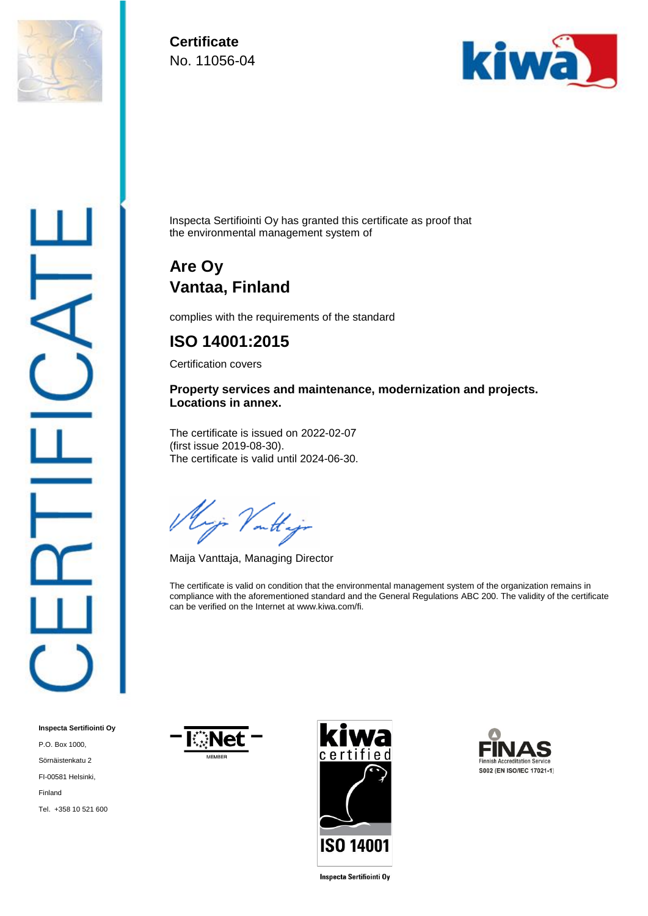

**Certificate**  No. 11056-04



Inspecta Sertifiointi Oy has granted this certificate as proof that the environmental management system of

## **Are Oy Vantaa, Finland**

complies with the requirements of the standard

## **ISO 14001:2015**

Certification covers

**Property services and maintenance, modernization and projects. Locations in annex.** 

The certificate is issued on 2022-02-07 (first issue 2019-08-30). The certificate is valid until 2024-06-30.

yi Vattijo

Maija Vanttaja, Managing Director

The certificate is valid on condition that the environmental management system of the organization remains in compliance with the aforementioned standard and the General Regulations ABC 200. The validity of the certificate can be verified on the Internet at www.kiwa.com/fi.

**Inspecta Sertifiointi Oy** P.O. Box 1000, Sörnäistenkatu 2 FI-00581 Helsinki, Finland Tel. +358 10 521 600







**Inspecta Sertifiointi Oy**